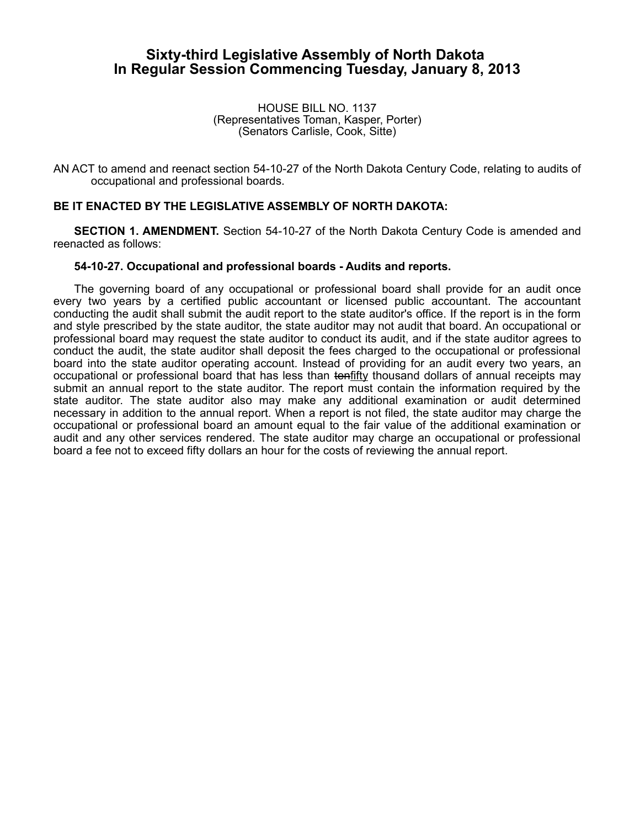## **Sixty-third Legislative Assembly of North Dakota In Regular Session Commencing Tuesday, January 8, 2013**

HOUSE BILL NO. 1137 (Representatives Toman, Kasper, Porter) (Senators Carlisle, Cook, Sitte)

AN ACT to amend and reenact section 54-10-27 of the North Dakota Century Code, relating to audits of occupational and professional boards.

## **BE IT ENACTED BY THE LEGISLATIVE ASSEMBLY OF NORTH DAKOTA:**

**SECTION 1. AMENDMENT.** Section 54-10-27 of the North Dakota Century Code is amended and reenacted as follows:

## **54-10-27. Occupational and professional boards - Audits and reports.**

The governing board of any occupational or professional board shall provide for an audit once every two years by a certified public accountant or licensed public accountant. The accountant conducting the audit shall submit the audit report to the state auditor's office. If the report is in the form and style prescribed by the state auditor, the state auditor may not audit that board. An occupational or professional board may request the state auditor to conduct its audit, and if the state auditor agrees to conduct the audit, the state auditor shall deposit the fees charged to the occupational or professional board into the state auditor operating account. Instead of providing for an audit every two years, an occupational or professional board that has less than tenfifty thousand dollars of annual receipts may submit an annual report to the state auditor. The report must contain the information required by the state auditor. The state auditor also may make any additional examination or audit determined necessary in addition to the annual report. When a report is not filed, the state auditor may charge the occupational or professional board an amount equal to the fair value of the additional examination or audit and any other services rendered. The state auditor may charge an occupational or professional board a fee not to exceed fifty dollars an hour for the costs of reviewing the annual report.